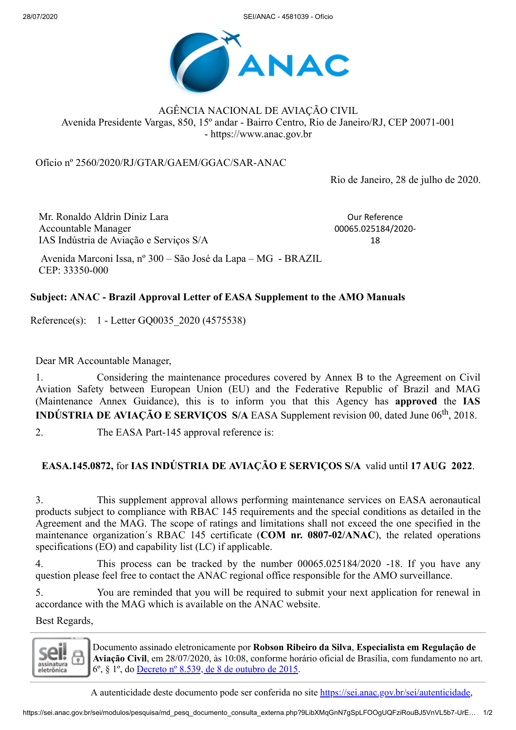28/07/2020 SEI/ANAC - 4581039 - Ofício



AGÊNCIA NACIONAL DE AVIAÇÃO CIVIL Avenida Presidente Vargas, 850, 15º andar - Bairro Centro, Rio de Janeiro/RJ, CEP 20071-001 - https://www.anac.gov.br

Ofício nº 2560/2020/RJ/GTAR/GAEM/GGAC/SAR-ANAC

Rio de Janeiro, 28 de julho de 2020.

Mr. Ronaldo Aldrin Diniz Lara Accountable Manager IAS Indústria de Aviação e Serviços S/A

Our Reference 00065.025184/2020- 18

Avenida Marconi Issa, nº 300 – São José da Lapa – MG - BRAZIL CEP: 33350-000

## **Subject: ANAC - Brazil Approval Letter of EASA Supplement to the AMO Manuals**

Reference(s): 1 - Letter GQ0035\_2020 (4575538)

Dear MR Accountable Manager,

1. Considering the maintenance procedures covered by Annex B to the Agreement on Civil Aviation Safety between European Union (EU) and the Federative Republic of Brazil and MAG (Maintenance Annex Guidance), this is to inform you that this Agency has **approved** the **IAS INDÚSTRIA DE AVIAÇÃO E SERVIÇOS S/A EASA Supplement revision 00, dated June 06<sup>th</sup>, 2018.** 

2. The EASA Part-145 approval reference is:

## **EASA.145.0872,** for **IAS INDÚSTRIA DE AVIAÇÃO E SERVIÇOS S/A** valid until **17 AUG 2022**.

3. This supplement approval allows performing maintenance services on EASA aeronautical products subject to compliance with RBAC 145 requirements and the special conditions as detailed in the Agreement and the MAG. The scope of ratings and limitations shall not exceed the one specified in the maintenance organization´s RBAC 145 certificate (**COM nr. 0807-02/ANAC**), the related operations specifications (EO) and capability list (LC) if applicable.

4. This process can be tracked by the number 00065.025184/2020 -18. If you have any question please feel free to contact the ANAC regional office responsible for the AMO surveillance.

5. You are reminded that you will be required to submit your next application for renewal in accordance with the MAG which is available on the ANAC website.

Best Regards,

assinatura eletrônica

Documento assinado eletronicamente por **Robson Ribeiro da Silva**, **Especialista em Regulação de Aviação Civil**, em 28/07/2020, às 10:08, conforme horário oficial de Brasília, com fundamento no art. 6º, § 1º, do [Decreto](http://www.planalto.gov.br/ccivil_03/_Ato2015-2018/2015/Decreto/D8539.htm) nº 8.539, de 8 de outubro de 2015.

A autenticidade deste documento pode ser conferida no site [https://sei.anac.gov.br/sei/autenticidade,](https://sei.anac.gov.br/sei/controlador_externo.php?acao=documento_conferir&id_orgao_acesso_externo=0)